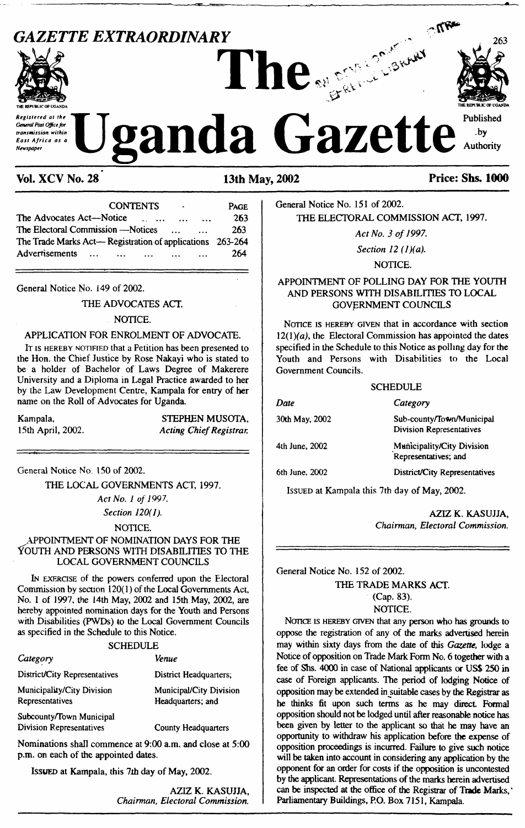# **GAZETTE EXTRAORDINARY** 263 **THE REPUBLIC OF UGANDA The THE REPUBLIC** *Of* **UGANDA Registered at the** T<sub>1</sub> **T** Published **at the T1 A** *Published Published East Africa as* a</sub> Uganda Gazette Authority

### **Vol. XCV No. 28 13th May, 2002 Price: Shs. 1000**

#### CONTENTS - Page The Advocates Act—Notice .............................. 263 The Electoral Commission —Notices .............. The Trade Marks Act— Registration of applications 263-264 Advertisements ... ... ... ... ... 264

General Notice No. 149 of 2002.

#### THE ADVOCATES ACT.

#### NOTICE.

#### APPLICATION FOR ENROLMENT OF ADVOCATE.

It is HEREBY NOTIFIED that a Petition has been presented to the Hon. the Chief Justice by Rose Nakayi who is stated to be a holder of Bachelor of Laws Degree of Makerere University and a Diploma in Legal Practice awarded to her by the Law Development Centre, Kampala for entry of her name on the Roll of Advocates for Uganda.

Kampala, 15th April, 2002.

STEPHEN MUSOTA, *Acting ChiefRegistrar.*

General Notice No. 150 of 2002.

THE LOCAL GOVERNMENTS ACT, 1997.

*Act No. <sup>1</sup> of 1997. Section 120(1).*

NOTICE.

#### APPOINTMENT OF NOMINATION DAYS FOR THE YOUTH AND PERSONS WITH DISABILITIES TO THE LOCAL GOVERNMENT COUNCILS

In exercise of the powers conferred upon the Electoral Commission by section  $120(1)$  of the Local Governments Act, No. <sup>1</sup> of 1997, the 14th May, 2002 and 15th May, 2002, are hereby appointed nomination days for the Youth and Persons with Disabilities (PWDs) to the Local Government Councils as specified in the Schedule to this Notice.

#### **SCHEDULE**

| Category                                                    | <b>Venue</b>                                 |
|-------------------------------------------------------------|----------------------------------------------|
| District/City Representatives                               | District Headquarters;                       |
| Municipality/City Division<br>Representatives               | Municipal/City Division<br>Headquarters; and |
| Subcounty/Town Municipal<br><b>Division Representatives</b> | County Headquarters                          |

County Headquarters

Nominations shall commence at 9:00 a.m. and close at 5:00 p.m. on each of the appointed dates.

Issued at Kampala, this 7ih day of May, 2002.

AZIZ K. KASUJJA, *Chairman, Electoral Commission.*

General Notice No. 151 of 2002. THE ELECTORAL COMMISSION ACT, 1997.

*Act No. 3 of 1997.*

*Section 12 (l)(a).*

NOTICE.

#### APPOINTMENT OF POLLING DAY FOR THE YOUTH AND PERSONS WITH DISABILITIES TO LOCAL GOVERNMENT COUNCILS

NOTICE IS HEREBY GIVEN that in accordance with section  $12(1)(a)$ , the Electoral Commission has appointed the dates specified in the Schedule to this Notice as polling day for the Youth and Persons with Disabilities to the Local Government Councils.

| <b>SCHEDULE</b> |                                                              |
|-----------------|--------------------------------------------------------------|
| Date            | Category                                                     |
| 30th May, 2002  | Sub-county/Town/Municipal<br><b>Division Representatives</b> |
| 4th June, 2002  | Municipality/City Division<br>Representatives; and           |
| 6th June. 2002  | District/City Representatives                                |

Issued at Kampala this 7th day of May, 2002.

AZIZ K. KASUJJA, *Chairman, Electoral Commission.*

General Notice No. 152 of 2002. THE TRADE MARKS ACT.

(Cap. 83).

NOTICE.

NOTICE IS HEREBY GIVEN that any person who has grounds to oppose the registration of any of the marks advertised herein may within sixty days from the date of this *Gazette,* lodge a Notice of opposition on Trade Mark Form No. 6 together with a fee of Shs. 4000 in case of National applicants or US\$ 250 in case of Foreign applicants. The period of lodging Notice of opposition may be extended in suitable cases by the Registrar as he thinks fit upon such terms as he may direct Formal opposition should not be lodged until after reasonable notice has been given by letter to the applicant so that he may have an opportunity to withdraw his application before the expense of opposition proceedings is incurred. Failure to give such notice will be taken into account in considering any application by the opponent for an order for costs if the opposition is uncontested by the applicant. Representations of the marks herein advertised can be inspected at the office of the Registrar of **Trade** Marks, ' Parliamentary Buildings, P.O. Box 7151, Kampala.